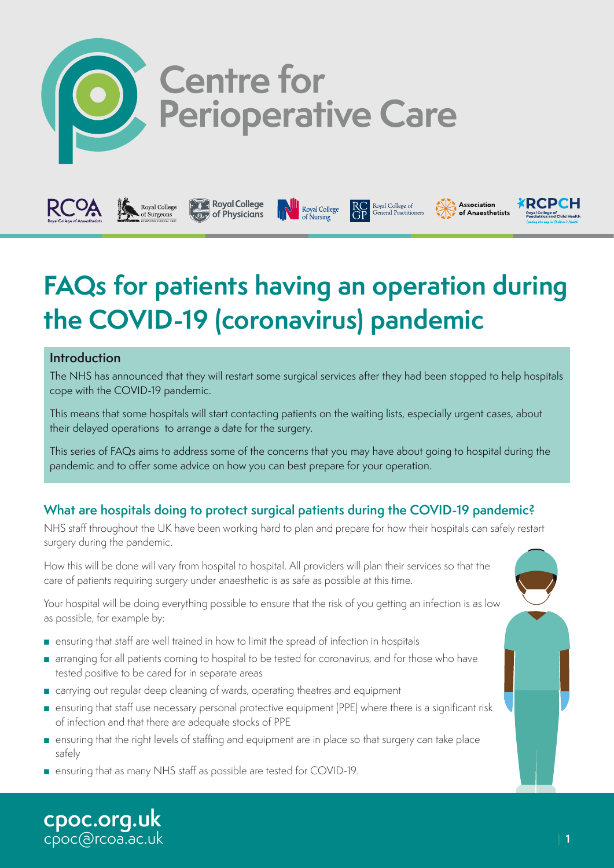

# Centre for<br>Perioperative Care

Royal College

Royal College of<br>General Practitioners



**Royal College**<br>of Physicians

Royal College

## **the COVID-19 (coronavirus) pandemic**

#### **Introduction**

The NHS has announced that they will restart some surgical services after they had been stopped to help hospitals cope with the COVID-19 pandemic.

This means that some hospitals will start contacting patients on the waiting lists, especially urgent cases, about their delayed operations to arrange a date for the surgery.

This series of FAQs aims to address some of the concerns that you may have about going to hospital during the pandemic and to offer some advice on how you can best prepare for your operation.

#### **What are hospitals doing to protect surgical patients during the COVID-19 pandemic?**

NHS staff throughout the UK have been working hard to plan and prepare for how their hospitals can safely restart surgery during the pandemic.

How this will be done will vary from hospital to hospital. All providers will plan their services so that the care of patients requiring surgery under anaesthetic is as safe as possible at this time.

Your hospital will be doing everything possible to ensure that the risk of you getting an infection is as low as possible, for example by:

- ensuring that staff are well trained in how to limit the spread of infection in hospitals
- arranging for all patients coming to hospital to be tested for coronavirus, and for those who have tested positive to be cared for in separate areas
- carrying out regular deep cleaning of wards, operating theatres and equipment
- ensuring that staff use necessary personal protective equipment (PPE) where there is a significant risk of infection and that there are adequate stocks of PPE
- ensuring that the right levels of staffing and equipment are in place so that surgery can take place safely
- ensuring that as many NHS staff as possible are tested for COVID-19.

**[cpoc.org.uk](http://cpoc.org.uk)** [cpoc@rcoa.ac.uk](mailto:cpoc@rcoa.ac.uk) **⊀RCPCH** 

Association

of Anaesthetists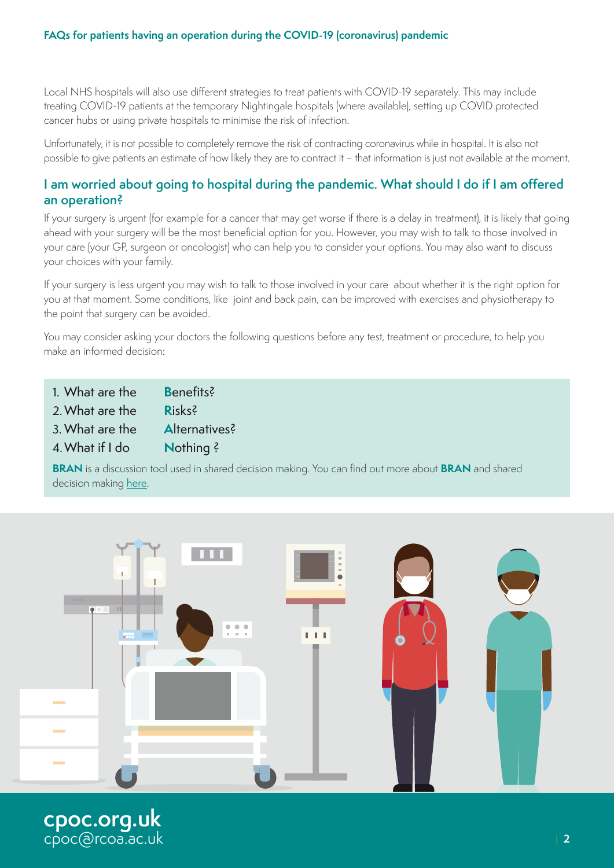Local NHS hospitals will also use different strategies to treat patients with COVID-19 separately. This may include treating COVID-19 patients at the temporary Nightingale hospitals (where available), setting up COVID protected cancer hubs or using private hospitals to minimise the risk of infection.

Unfortunately, it is not possible to completely remove the risk of contracting coronavirus while in hospital. It is also not possible to give patients an estimate of how likely they are to contract it – that information is just not available at the moment.

#### **I am worried about going to hospital during the pandemic. What should I do if I am offered an operation?**

If your surgery is urgent (for example for a cancer that may get worse if there is a delay in treatment), it is likely that going ahead with your surgery will be the most beneficial option for you. However, you may wish to talk to those involved in your care (your GP, surgeon or oncologist) who can help you to consider your options. You may also want to discuss your choices with your family.

If your surgery is less urgent you may wish to talk to those involved in your care about whether it is the right option for you at that moment. Some conditions, like joint and back pain, can be improved with exercises and physiotherapy to the point that surgery can be avoided.

You may consider asking your doctors the following questions before any test, treatment or procedure, to help you make an informed decision:

1. What are the **B**enefits?

2.What are the **R**isks?

3. What are the **A**lternatives?

4.What if I do **N**othing ?

**BRAN** is a discussion tool used in shared decision making. You can find out more about **BRAN** and shared decision making [here](https://www.choosingwisely.co.uk/i-am-a-patient-carer/).

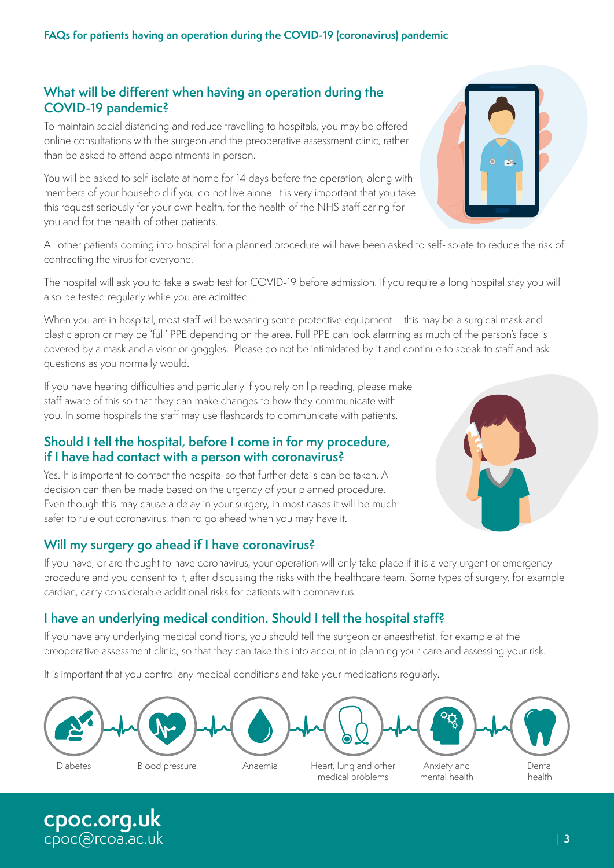#### **What will be different when having an operation during the COVID-19 pandemic?**

To maintain social distancing and reduce travelling to hospitals, you may be offered online consultations with the surgeon and the preoperative assessment clinic, rather than be asked to attend appointments in person.

You will be asked to self-isolate at home for 14 days before the operation, along with members of your household if you do not live alone. It is very important that you take this request seriously for your own health, for the health of the NHS staff caring for you and for the health of other patients.

All other patients coming into hospital for a planned procedure will have been asked to self-isolate to reduce the risk of contracting the virus for everyone.

The hospital will ask you to take a swab test for COVID-19 before admission. If you require a long hospital stay you will also be tested regularly while you are admitted.

When you are in hospital, most staff will be wearing some protective equipment – this may be a surgical mask and plastic apron or may be 'full' PPE depending on the area. Full PPE can look alarming as much of the person's face is covered by a mask and a visor or goggles. Please do not be intimidated by it and continue to speak to staff and ask questions as you normally would.

If you have hearing difficulties and particularly if you rely on lip reading, please make staff aware of this so that they can make changes to how they communicate with you. In some hospitals the staff may use flashcards to communicate with patients.

#### **Should I tell the hospital, before I come in for my procedure, if I have had contact with a person with coronavirus?**

Yes. It is important to contact the hospital so that further details can be taken. A decision can then be made based on the urgency of your planned procedure. Even though this may cause a delay in your surgery, in most cases it will be much safer to rule out coronavirus, than to go ahead when you may have it.

#### **Will my surgery go ahead if I have coronavirus?**

**[cpoc.org.uk](http://cpoc.org.uk)** [cpoc@rcoa.ac.uk](mailto:cpoc@rcoa.ac.uk)

If you have, or are thought to have coronavirus, your operation will only take place if it is a very urgent or emergency procedure and you consent to it, after discussing the risks with the healthcare team. Some types of surgery, for example cardiac, carry considerable additional risks for patients with coronavirus.

#### **I have an underlying medical condition. Should I tell the hospital staff?**

If you have any underlying medical conditions, you should tell the surgeon or anaesthetist, for example at the preoperative assessment clinic, so that they can take this into account in planning your care and assessing your risk.

It is important that you control any medical conditions and take your medications regularly.





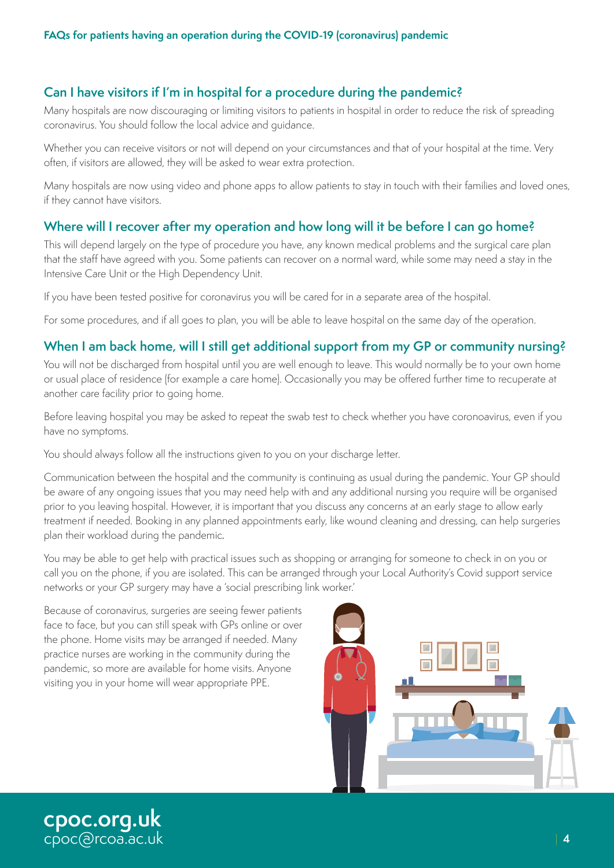#### **Can I have visitors if I'm in hospital for a procedure during the pandemic?**

Many hospitals are now discouraging or limiting visitors to patients in hospital in order to reduce the risk of spreading coronavirus. You should follow the local advice and guidance.

Whether you can receive visitors or not will depend on your circumstances and that of your hospital at the time. Very often, if visitors are allowed, they will be asked to wear extra protection.

Many hospitals are now using video and phone apps to allow patients to stay in touch with their families and loved ones, if they cannot have visitors.

#### **Where will I recover after my operation and how long will it be before I can go home?**

This will depend largely on the type of procedure you have, any known medical problems and the surgical care plan that the staff have agreed with you. Some patients can recover on a normal ward, while some may need a stay in the Intensive Care Unit or the High Dependency Unit.

If you have been tested positive for coronavirus you will be cared for in a separate area of the hospital.

For some procedures, and if all goes to plan, you will be able to leave hospital on the same day of the operation.

#### **When I am back home, will I still get additional support from my GP or community nursing?**

You will not be discharged from hospital until you are well enough to leave. This would normally be to your own home or usual place of residence (for example a care home). Occasionally you may be offered further time to recuperate at another care facility prior to going home.

Before leaving hospital you may be asked to repeat the swab test to check whether you have coronoavirus, even if you have no symptoms.

You should always follow all the instructions given to you on your discharge letter.

Communication between the hospital and the community is continuing as usual during the pandemic. Your GP should be aware of any ongoing issues that you may need help with and any additional nursing you require will be organised prior to you leaving hospital. However, it is important that you discuss any concerns at an early stage to allow early treatment if needed. Booking in any planned appointments early, like wound cleaning and dressing, can help surgeries plan their workload during the pandemic*.*

You may be able to get help with practical issues such as shopping or arranging for someone to check in on you or call you on the phone, if you are isolated. This can be arranged through your Local Authority's Covid support service networks or your GP surgery may have a 'social prescribing link worker.'

Because of coronavirus, surgeries are seeing fewer patients face to face, but you can still speak with GPs online or over the phone. Home visits may be arranged if needed. Many practice nurses are working in the community during the pandemic, so more are available for home visits. Anyone visiting you in your home will wear appropriate PPE.



**[cpoc.org.uk](http://cpoc.org.uk)** [cpoc@rcoa.ac.uk](mailto:cpoc@rcoa.ac.uk)